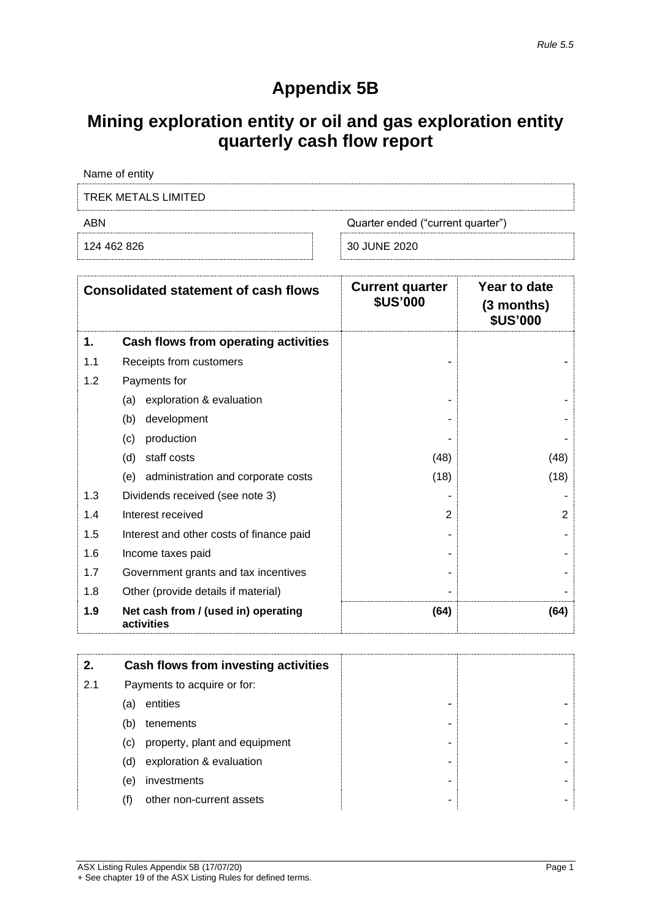## **Appendix 5B**

## **Mining exploration entity or oil and gas exploration entity quarterly cash flow report**

| Name of entity      |                                   |
|---------------------|-----------------------------------|
| TREK METALS LIMITED |                                   |
| ARN                 | Quarter ended ("current quarter") |
| 124 462 826         | 30 JUNE 2020                      |

| <b>Consolidated statement of cash flows</b> |                                                   | <b>Current quarter</b><br><b>\$US'000</b> | Year to date<br>$(3$ months)<br><b>\$US'000</b> |
|---------------------------------------------|---------------------------------------------------|-------------------------------------------|-------------------------------------------------|
| 1.                                          | Cash flows from operating activities              |                                           |                                                 |
| 1.1                                         | Receipts from customers                           |                                           |                                                 |
| 1.2                                         | Payments for                                      |                                           |                                                 |
|                                             | exploration & evaluation<br>(a)                   |                                           |                                                 |
|                                             | development<br>(b)                                |                                           |                                                 |
|                                             | production<br>(c)                                 |                                           |                                                 |
|                                             | (d)<br>staff costs                                | (48)                                      | (48)                                            |
|                                             | administration and corporate costs<br>(e)         | (18)                                      | (18)                                            |
| 1.3                                         | Dividends received (see note 3)                   |                                           |                                                 |
| 1.4                                         | Interest received                                 | $\overline{2}$                            | $\overline{2}$                                  |
| 1.5                                         | Interest and other costs of finance paid          |                                           |                                                 |
| 1.6                                         | Income taxes paid                                 |                                           |                                                 |
| 1.7                                         | Government grants and tax incentives              |                                           |                                                 |
| 1.8                                         | Other (provide details if material)               |                                           |                                                 |
| 1.9                                         | Net cash from / (used in) operating<br>activities | (64)                                      | (64)                                            |

| 2.  |     | Cash flows from investing activities |
|-----|-----|--------------------------------------|
| 2.1 |     | Payments to acquire or for:          |
|     | (a) | entities<br>-                        |
|     | (b) | tenements<br>-                       |
|     | (C) | property, plant and equipment<br>-   |
|     | (d) | exploration & evaluation<br>۰        |
|     | (e) | investments<br>-                     |
|     | (†) | other non-current assets<br>-        |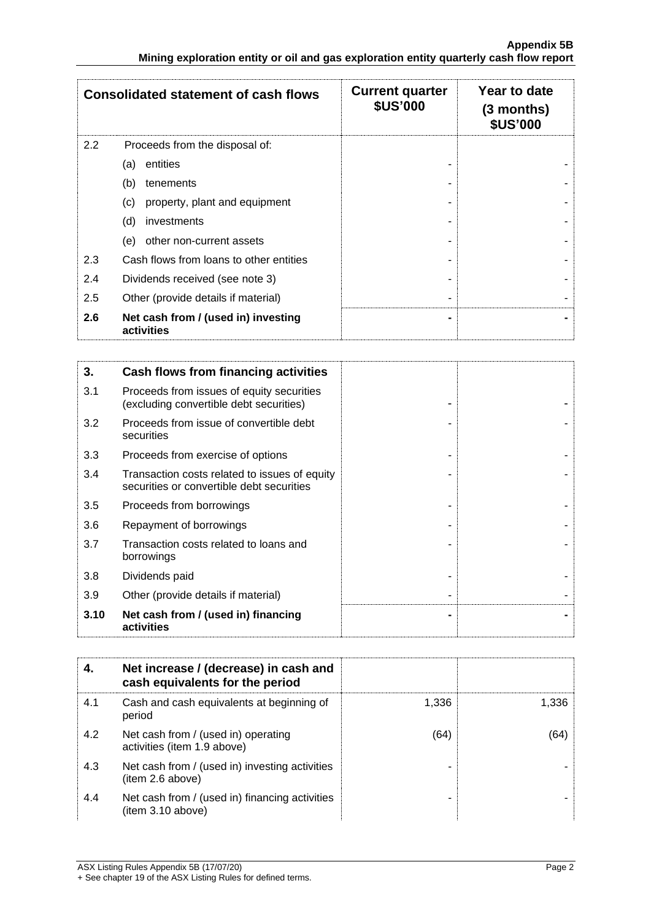|     | <b>Consolidated statement of cash flows</b>       | <b>Current quarter</b><br><b>\$US'000</b> | Year to date<br>(3 months)<br><b>\$US'000</b> |
|-----|---------------------------------------------------|-------------------------------------------|-----------------------------------------------|
| 2.2 | Proceeds from the disposal of:                    |                                           |                                               |
|     | entities<br>(a)                                   |                                           |                                               |
|     | (b)<br>tenements                                  |                                           |                                               |
|     | property, plant and equipment<br>(c)              |                                           |                                               |
|     | (d)<br>investments                                |                                           |                                               |
|     | other non-current assets<br>(e)                   |                                           |                                               |
| 2.3 | Cash flows from loans to other entities           |                                           |                                               |
| 2.4 | Dividends received (see note 3)                   |                                           |                                               |
| 2.5 | Other (provide details if material)               |                                           |                                               |
| 2.6 | Net cash from / (used in) investing<br>activities | -                                         |                                               |

| 3.   | Cash flows from financing activities                                                       |  |
|------|--------------------------------------------------------------------------------------------|--|
| 3.1  | Proceeds from issues of equity securities<br>(excluding convertible debt securities)       |  |
| 3.2  | Proceeds from issue of convertible debt<br>securities                                      |  |
| 3.3  | Proceeds from exercise of options                                                          |  |
| 3.4  | Transaction costs related to issues of equity<br>securities or convertible debt securities |  |
| 3.5  | Proceeds from borrowings                                                                   |  |
| 3.6  | Repayment of borrowings                                                                    |  |
| 3.7  | Transaction costs related to loans and<br>borrowings                                       |  |
| 3.8  | Dividends paid                                                                             |  |
| 3.9  | Other (provide details if material)                                                        |  |
| 3.10 | Net cash from / (used in) financing<br>activities                                          |  |

| 4.  | Net increase / (decrease) in cash and<br>cash equivalents for the period |       |       |
|-----|--------------------------------------------------------------------------|-------|-------|
| 4.1 | Cash and cash equivalents at beginning of<br>period                      | 1,336 | 1,336 |
| 4.2 | Net cash from / (used in) operating<br>activities (item 1.9 above)       | (64)  | (64)  |
| 4.3 | Net cash from / (used in) investing activities<br>(item 2.6 above)       |       |       |
| 4.4 | Net cash from / (used in) financing activities<br>item 3.10 above)       |       |       |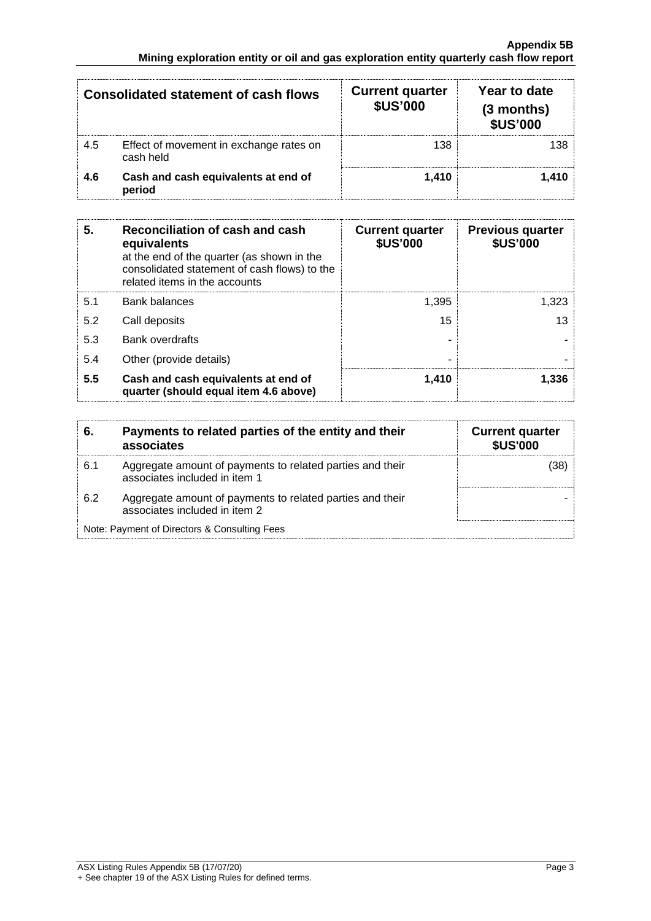|     | <b>Consolidated statement of cash flows</b>          | <b>Current quarter</b><br><b>\$US'000</b> | Year to date<br>$(3$ months)<br><b>\$US'000</b> |
|-----|------------------------------------------------------|-------------------------------------------|-------------------------------------------------|
| 4.5 | Effect of movement in exchange rates on<br>cash held | 138                                       | 138                                             |
| 4.6 | Cash and cash equivalents at end of<br>period        | 1.410                                     | 1.410                                           |

| 5.  | Reconciliation of cash and cash<br>equivalents<br>at the end of the quarter (as shown in the<br>consolidated statement of cash flows) to the<br>related items in the accounts | <b>Current quarter</b><br><b>\$US'000</b> | <b>Previous quarter</b><br><b>\$US'000</b> |
|-----|-------------------------------------------------------------------------------------------------------------------------------------------------------------------------------|-------------------------------------------|--------------------------------------------|
| 5.1 | <b>Bank balances</b>                                                                                                                                                          | 1.395                                     | 1,323                                      |
| 5.2 | Call deposits                                                                                                                                                                 | 15                                        | 13                                         |
| 5.3 | <b>Bank overdrafts</b>                                                                                                                                                        |                                           |                                            |
| 5.4 | Other (provide details)                                                                                                                                                       | -                                         |                                            |
| 5.5 | Cash and cash equivalents at end of<br>quarter (should equal item 4.6 above)                                                                                                  | 1,410                                     | 1.336                                      |

| 6   | Payments to related parties of the entity and their<br>associates                          | <b>Current quarter</b><br><b>\$US'000</b> |
|-----|--------------------------------------------------------------------------------------------|-------------------------------------------|
| 6.1 | Aggregate amount of payments to related parties and their<br>associates included in item 1 | '38)                                      |
| 6.2 | Aggregate amount of payments to related parties and their<br>associates included in item 2 |                                           |
|     | Note: Payment of Directors & Consulting Fees                                               |                                           |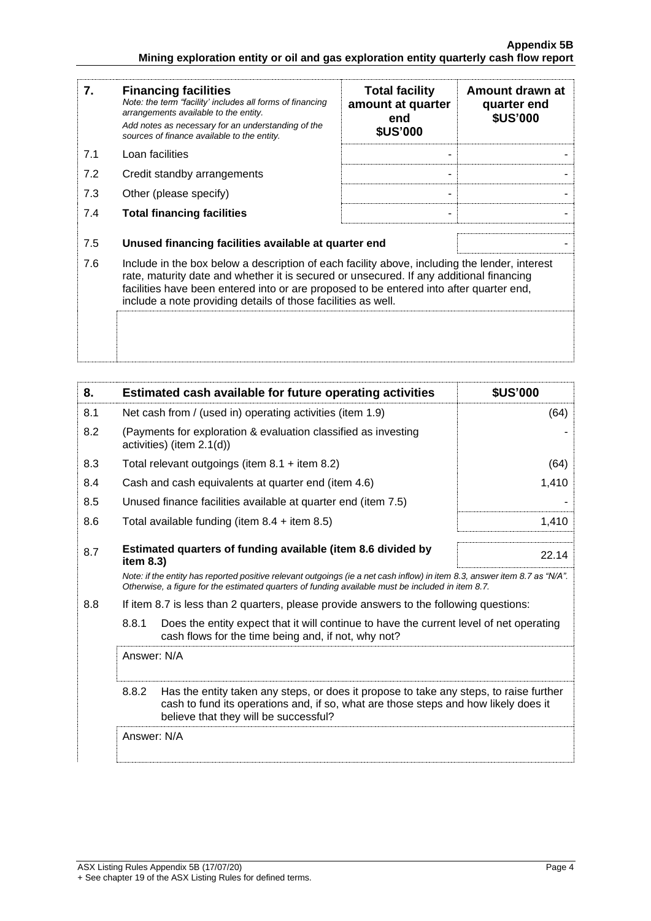| 7.  | <b>Financing facilities</b><br>Note: the term "facility' includes all forms of financing<br>arrangements available to the entity.<br>Add notes as necessary for an understanding of the<br>sources of finance available to the entity.                                                                                                               | <b>Total facility</b><br>amount at quarter<br>end<br><b>\$US'000</b> | Amount drawn at<br>quarter end<br><b>\$US'000</b> |
|-----|------------------------------------------------------------------------------------------------------------------------------------------------------------------------------------------------------------------------------------------------------------------------------------------------------------------------------------------------------|----------------------------------------------------------------------|---------------------------------------------------|
| 7.1 | Loan facilities                                                                                                                                                                                                                                                                                                                                      |                                                                      |                                                   |
| 7.2 | Credit standby arrangements                                                                                                                                                                                                                                                                                                                          |                                                                      |                                                   |
| 7.3 | Other (please specify)                                                                                                                                                                                                                                                                                                                               |                                                                      |                                                   |
| 7.4 | <b>Total financing facilities</b>                                                                                                                                                                                                                                                                                                                    |                                                                      |                                                   |
| 7.5 | Unused financing facilities available at quarter end                                                                                                                                                                                                                                                                                                 |                                                                      |                                                   |
| 7.6 | Include in the box below a description of each facility above, including the lender, interest<br>rate, maturity date and whether it is secured or unsecured. If any additional financing<br>facilities have been entered into or are proposed to be entered into after quarter end,<br>include a note providing details of those facilities as well. |                                                                      |                                                   |
|     |                                                                                                                                                                                                                                                                                                                                                      |                                                                      |                                                   |

| 8.  | Estimated cash available for future operating activities                     |                                                                                                                                                                                                                                 | <b>\$US'000</b> |
|-----|------------------------------------------------------------------------------|---------------------------------------------------------------------------------------------------------------------------------------------------------------------------------------------------------------------------------|-----------------|
| 8.1 | Net cash from / (used in) operating activities (item 1.9)                    |                                                                                                                                                                                                                                 | (64)            |
| 8.2 | activities) (item 2.1(d))                                                    | (Payments for exploration & evaluation classified as investing                                                                                                                                                                  |                 |
| 8.3 |                                                                              | Total relevant outgoings (item $8.1 +$ item $8.2$ )                                                                                                                                                                             | (64)            |
| 8.4 |                                                                              | Cash and cash equivalents at quarter end (item 4.6)                                                                                                                                                                             | 1,410           |
| 8.5 |                                                                              | Unused finance facilities available at quarter end (item 7.5)                                                                                                                                                                   |                 |
| 8.6 | Total available funding (item $8.4$ + item $8.5$ )                           |                                                                                                                                                                                                                                 | 1,410           |
| 8.7 | Estimated quarters of funding available (item 8.6 divided by<br>item $8.3$ ) |                                                                                                                                                                                                                                 | 22.14           |
|     |                                                                              | Note: if the entity has reported positive relevant outgoings (ie a net cash inflow) in item 8.3, answer item 8.7 as "N/A".<br>Otherwise, a figure for the estimated guarters of funding available must be included in item 8.7. |                 |
| 8.8 |                                                                              | If item 8.7 is less than 2 quarters, please provide answers to the following questions:                                                                                                                                         |                 |
|     | 8.8.1                                                                        | Does the entity expect that it will continue to have the current level of net operating<br>cash flows for the time being and, if not, why not?                                                                                  |                 |
|     | Answer: N/A                                                                  |                                                                                                                                                                                                                                 |                 |
|     | 8.8.2                                                                        | Has the entity taken any steps, or does it propose to take any steps, to raise further<br>cash to fund its operations and, if so, what are those steps and how likely does it<br>believe that they will be successful?          |                 |
|     | Answer: N/A                                                                  |                                                                                                                                                                                                                                 |                 |
|     |                                                                              |                                                                                                                                                                                                                                 |                 |